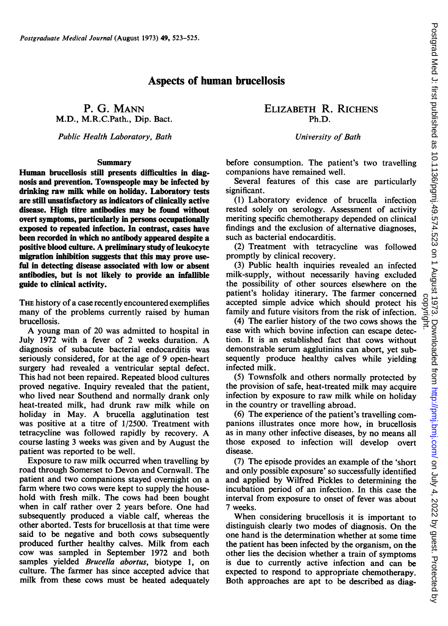## Aspects of human brucellosis

M.D., M.R.C.Path., Dip. Bact.

Public Health Laboratory, Bath Channel Communication Channel University of Bath

### Summary

Human brucellosis still presents difficulties in diagnosis and prevention. Townspeople may be infected by drinking raw milk while on holiday. Laboratory tests are still unsatisfactory as indicators of clinically active disease. High titre antibodies may be found without overt symptoms, particularly in persons occupationally exposed to repeated infection. In contrast, cases have been recorded in which no antibody appeared despite a positive blood culture. A preliminary study of leukocyte migration inhibition suggests that this may prove usefil in detecting disease associated with low or absent antibodies, but is not likely to provide an infallible guide to clinical activity.

THE history of a case recently encountered exemplifies many of the problems currently raised by human brucellosis.

A young man of <sup>20</sup> was admitted to hospital in July <sup>1972</sup> with <sup>a</sup> fever of <sup>2</sup> weeks duration. A diagnosis of subacute bacterial endocarditis was seriously considered, for at the age of 9 open-heart surgery had revealed a ventricular septal defect. This had not been repaired. Repeated blood cultures proved negative. Inquiry revealed that the patient, who lived near Southend and normally drank only heat-treated milk, had drunk raw milk while on holiday in May. A brucella agglutination test was positive at a titre of 1/2500. Treatment with tetracycline was followed rapidly by recovery. A course lasting 3 weeks was given and by August the patient was reported to be well.

Exposure to raw milk occurred when travelling by road through Somerset to Devon and Cornwall. The patient and two companions stayed overnight on a farm where two cows were kept to supply the household with fresh milk. The cows had been bought when in calf rather over 2 years before. One had subsequently produced a viable calf, whereas the other aborted. Tests for brucellosis at that time were said to be negative and both cows subsequently produced further healthy calves. Milk from each cow was sampled in September 1972 and both samples yielded *Brucella abortus*, biotype 1, on culture. The farmer has since accepted advice that milk from these cows must be heated adequately

# P. G. MANN ELIZABETH R. RICHENS

before consumption. The patient's two travelling companions have remained well.

Several features of this case are particularly significant.

(1) Laboratory evidence of brucella infection rested solely on serology. Assessment of activity meriting specific chemotherapy depended on clinical findings and the exclusion of alternative diagnoses, such as bacterial endocarditis.

(2) Treatment with tetracycline was followed promptly by clinical recovery.

(3) Public health inquiries revealed an infected milk-supply, without necessarily having excluded the possibility of other sources elsewhere on the patient's holiday itinerary. The farmer concerned accepted simple advice which should protect his family and future visitors from the risk of infection.

(4) The earlier history of the two cows shows the ease with which bovine infection can escape detection. It is an established fact that cows without demonstrable serum agglutinins can abort, yet subsequently produce healthy calves while yielding infected milk.

(5) Townsfolk and others normally protected by the provision of safe, heat-treated milk may acquire infection by exposure to raw milk while on holiday in the country or travelling abroad.

(6) The experience of the patient's travelling companions illustrates once more how, in brucellosis as in many other infective diseases, by no means all those exposed to infection will develop overt disease.

(7) The episode provides an example of the 'short and only possible exposure' so successfully identified and applied by Wilfred Pickles to determining the incubation period of an infection. In this case the interval from exposure to onset of fever was about 7 weeks.

When considering brucellosis it is important to distinguish clearly two modes of diagnosis. On the one hand is the determination whether at some time the patient has been infected by the organism, on the other lies the decision whether a train of symptoms is due to currently active infection and can be expected to respond to appropriate chemotherapy. Both approaches are apt to be described as diag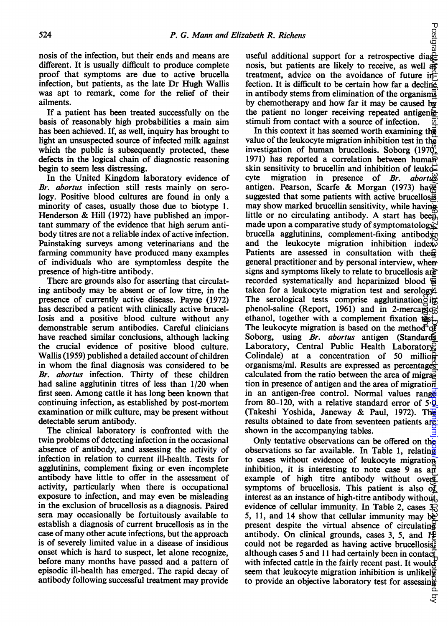nosis of the infection, but their ends and means are different. It is usually difficult to produce complete proof that symptoms are due to active brucella infection, but patients, as the late Dr Hugh Wallis was apt to remark, come for the relief of their ailments.

If a patient has been treated successfully on the basis of reasonably high probabilities a main aim has been achieved. If, as well, inquiry has brought to light an unsuspected source of infected milk against which the public is subsequently protected, these defects in the logical chain of diagnostic reasoning begin to seem less distressing.

In the United Kingdom laboratory evidence of Br. abortus infection still rests mainly on serology. Positive blood cultures are found in only a minority of cases, usually those due to biotype 1. Henderson & Hill (1972) have published an important summary of the evidence that high serum antibody titres are not a reliable index of active infection. Painstaking surveys among veterinarians and the farming community have produced many examples of individuals who are symptomless despite the presence of high-titre antibody.

There are grounds also for asserting that circulating antibody may be absent or of low titre, in the presence of currently active disease. Payne (1972) has described a patient with clinically active brucellosis and a positive blood culture without any demonstrable serum antibodies. Careful clinicians have reached similar conclusions, although lacking the crucial evidence of positive blood culture. Wallis (1959) published a detailed account of children in whom the final diagnosis was considered to be Br. abortus infection. Thirty of these children had saline agglutinin titres of less than 1/20 when first seen. Among cattle it has long been known that continuing infection, as established by post-mortem examination or milk culture, may be present without detectable serum antibody.

The clinical laboratory is confronted with the twin problems of detecting infection in the occasional absence of antibody, and assessing the activity of infection in relation to current ill-health. Tests for agglutinins, complement fixing or even incomplete antibody have little to offer in the assessment of activity, particularly when there is occupational exposure to infection, and may even be misleading in the exclusion of brucellosis as a diagnosis. Paired sera may occasionally be fortuitously available to establish a diagnosis of current brucellosis as in the case of many other acute infections, but the approach is of severely limited value in a disease of insidious onset which is hard to suspect, let alone recognize, before many months have passed and a pattern of episodic ill-health has emerged. The rapid decay of antibody following successful treatment may provide

 $\begin{array}{c}\n\text{a} \text{be} \text{th} \text{R. } \text{Richens} \\
\text{or} \\
\text{in} \\
\text{useful additional support for a retrospective diag} \\
\text{in} \\
\text{in} \\
\text{in} \\
\text{in} \\
\text{in} \\
\text{in} \\
\text{in} \\
\text{in} \\
\text{in} \\
\text{in} \\
\text{in} \\
\text{in} \\
\text{in} \\
\text{in} \\
\text{in} \\
\text{in} \\
\text{in} \\
\text{in} \\
\text{in} \\
\text{in} \\
\text{in} \\
\text{in} \\
\text{in} \\
\text{in} \\
\text{in} \\
\text{in} \\
\text$ nosis, but patients are likely to receive, as well  $\frac{1}{46}$ treatment, advice on the avoidance of future infection. It is difficult to be certain how far a decline in antibody stems from elimination of the organisms by chemotherapy and how far it may be caused by the patient no longer receiving repeated antigenic stimuli from contact with a source of infection. ळ

In this context it has seemed worth examining the value of the leukocyte migration inhibition test in the investigation of human brucellosis. Soborg (1970, 1971) has reported a correlation between huma $\overline{P}$ skin sensitivity to brucellin and inhibition of leukocyte migration in presence of  $Br.$  abortus antigen. Pearson, Scarfe & Morgan (1973) have suggested that some patients with active brucellosis may show marked brucellin sensitivity, while having little or no circulating antibody. A start has been made upon a comparative study of symptomatology, brucella agglutinins, complement-fixing antibody, and the leukocyte migration inhibition index $\overline{\mathbf{v}}$ Patients are assessed in consultation with theme general practitioner and by personal interview, when signs and symptoms likely to relate to brucellosis are recorded systematically and heparinized blood  $\mathbf{\overline{Q}}$ taken for a leukocyte migration test and serology. The serological tests comprise agglutination  $\delta$ in phenol-saline (Report, 1961) and in 2-mercapio-The serological tests comprise agglutination  $\frac{1}{2}$  in phenol-saline (Report, 1961) and in 2-mercapios ethanol, together with a complement fixation  $\overline{\text{tgs}}$   $\overline{\text{t}}$ . The leukocyte migration is based on the method The leukocyte migration is based on the method of Soborg, using Br. abortus antigen (Standards Laboratory, Central Public Health Laboratory Colindale) at a concentration of 50 million organisms/ml. Results are expressed as percentages calculated from the ratio between the area of migration in presence of antigen and the area of migration in an antigen-free control. Normal values range from 80–120, with a relative standard error of  $5\cdot\overline{0}$ (Takeshi Yoshida, Janeway & Paul, 1972). The results obtained to date from seventeen patients are shown in the accompanying tables. on July 4, 2022 by guest. Protected by http://pmj.bm/stp://pmj.com/ Postgrad Med Ji. first published as 10.124.4525. August 1974. Http:// 北北机机构的网络中央电信

Only tentative observations can be offered on the observations so far available. In Table 1, relating to cases without evidence of leukocyte migration inhibition, it is interesting to note case 9 as  $a\overrightarrow{n}$ example of high titre antibody without over $E$ symptoms of brucellosis. This patient is also  $\delta f$ interest as an instance of high-titre antibody without, evidence of cellular immunity. In Table 2, cases  $\mathcal{R}$ 5, 11, and 14 show that cellular immunity may be present despite the virtual absence of circulating antibody. On clinical grounds, cases 3, 5, and  $1\frac{100}{100}$ could not be regarded as having active brucellosis, although cases 5 and 11 had certainly been in contact with infected cattle in the fairly recent past. It would seem that leukocyte migration inhibition is unlikely to provide an objective laboratory test for assessing

्ट